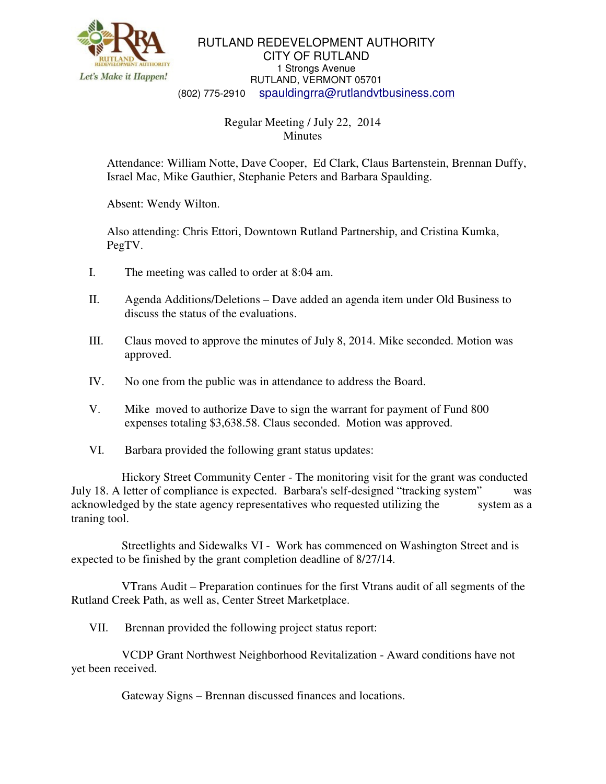

RUTLAND REDEVELOPMENT AUTHORITY CITY OF RUTLAND 1 Strongs Avenue RUTLAND, VERMONT 05701 (802) 775-2910 spauldingrra@rutlandvtbusiness.com

## Regular Meeting / July 22, 2014 **Minutes**

Attendance: William Notte, Dave Cooper, Ed Clark, Claus Bartenstein, Brennan Duffy, Israel Mac, Mike Gauthier, Stephanie Peters and Barbara Spaulding.

Absent: Wendy Wilton.

Also attending: Chris Ettori, Downtown Rutland Partnership, and Cristina Kumka, PegTV.

- I. The meeting was called to order at 8:04 am.
- II. Agenda Additions/Deletions Dave added an agenda item under Old Business to discuss the status of the evaluations.
- III. Claus moved to approve the minutes of July 8, 2014. Mike seconded. Motion was approved.
- IV. No one from the public was in attendance to address the Board.
- V. Mike moved to authorize Dave to sign the warrant for payment of Fund 800 expenses totaling \$3,638.58. Claus seconded. Motion was approved.
- VI. Barbara provided the following grant status updates:

 Hickory Street Community Center - The monitoring visit for the grant was conducted July 18. A letter of compliance is expected. Barbara's self-designed "tracking system" was acknowledged by the state agency representatives who requested utilizing the system as a traning tool.

 Streetlights and Sidewalks VI - Work has commenced on Washington Street and is expected to be finished by the grant completion deadline of 8/27/14.

 VTrans Audit – Preparation continues for the first Vtrans audit of all segments of the Rutland Creek Path, as well as, Center Street Marketplace.

VII. Brennan provided the following project status report:

 VCDP Grant Northwest Neighborhood Revitalization - Award conditions have not yet been received.

Gateway Signs – Brennan discussed finances and locations.